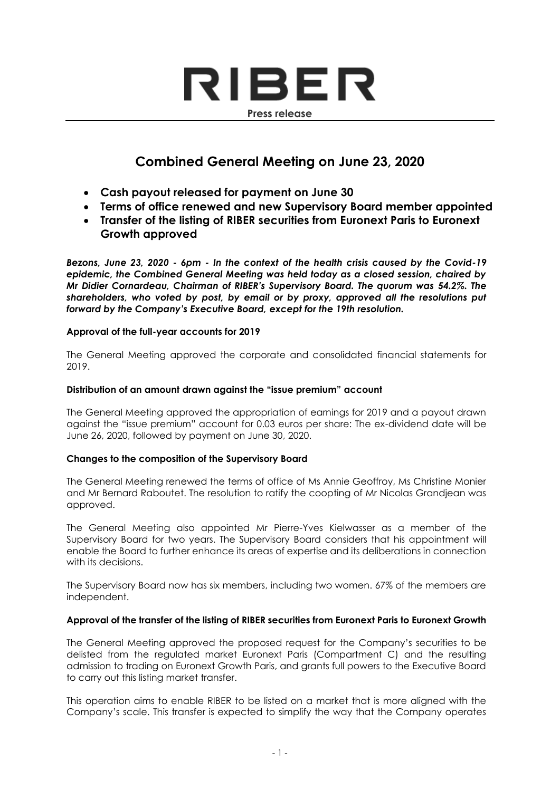# RIBER **Press release**

# **Combined General Meeting on June 23, 2020**

- **Cash payout released for payment on June 30**
- **Terms of office renewed and new Supervisory Board member appointed**
- **Transfer of the listing of RIBER securities from Euronext Paris to Euronext Growth approved**

*Bezons, June 23, 2020 - 6pm - In the context of the health crisis caused by the Covid-19 epidemic, the Combined General Meeting was held today as a closed session, chaired by Mr Didier Cornardeau, Chairman of RIBER's Supervisory Board. The quorum was 54.2%. The shareholders, who voted by post, by email or by proxy, approved all the resolutions put forward by the Company's Executive Board, except for the 19th resolution.*

#### **Approval of the full-year accounts for 2019**

The General Meeting approved the corporate and consolidated financial statements for 2019.

#### **Distribution of an amount drawn against the "issue premium" account**

The General Meeting approved the appropriation of earnings for 2019 and a payout drawn against the "issue premium" account for 0.03 euros per share: The ex-dividend date will be June 26, 2020, followed by payment on June 30, 2020.

## **Changes to the composition of the Supervisory Board**

The General Meeting renewed the terms of office of Ms Annie Geoffroy, Ms Christine Monier and Mr Bernard Raboutet. The resolution to ratify the coopting of Mr Nicolas Grandjean was approved.

The General Meeting also appointed Mr Pierre-Yves Kielwasser as a member of the Supervisory Board for two years. The Supervisory Board considers that his appointment will enable the Board to further enhance its areas of expertise and its deliberations in connection with its decisions.

The Supervisory Board now has six members, including two women. 67% of the members are independent.

## **Approval of the transfer of the listing of RIBER securities from Euronext Paris to Euronext Growth**

The General Meeting approved the proposed request for the Company's securities to be delisted from the regulated market Euronext Paris (Compartment C) and the resulting admission to trading on Euronext Growth Paris, and grants full powers to the Executive Board to carry out this listing market transfer.

This operation aims to enable RIBER to be listed on a market that is more aligned with the Company's scale. This transfer is expected to simplify the way that the Company operates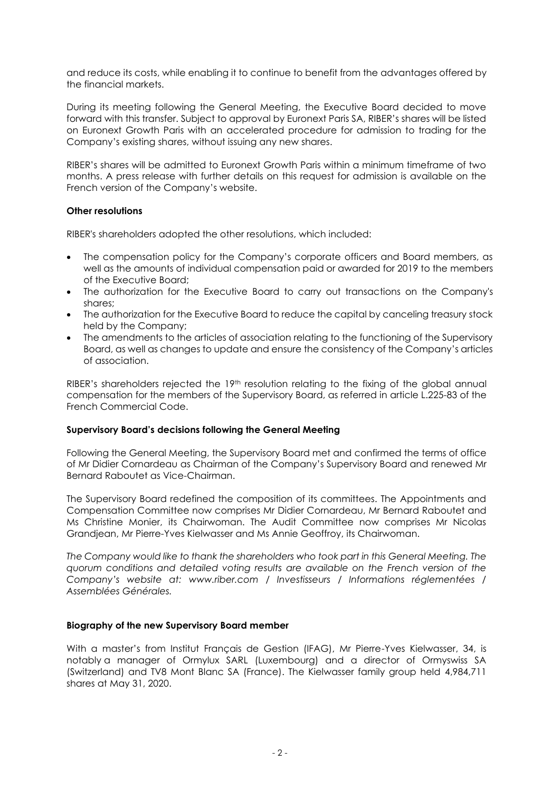and reduce its costs, while enabling it to continue to benefit from the advantages offered by the financial markets.

During its meeting following the General Meeting, the Executive Board decided to move forward with this transfer. Subject to approval by Euronext Paris SA, RIBER's shares will be listed on Euronext Growth Paris with an accelerated procedure for admission to trading for the Company's existing shares, without issuing any new shares.

RIBER's shares will be admitted to Euronext Growth Paris within a minimum timeframe of two months. A press release with further details on this request for admission is available on the French version of the Company's website.

#### **Other resolutions**

RIBER's shareholders adopted the other resolutions, which included:

- The compensation policy for the Company's corporate officers and Board members, as well as the amounts of individual compensation paid or awarded for 2019 to the members of the Executive Board;
- The authorization for the Executive Board to carry out transactions on the Company's shares;
- The authorization for the Executive Board to reduce the capital by canceling treasury stock held by the Company;
- The amendments to the articles of association relating to the functioning of the Supervisory Board, as well as changes to update and ensure the consistency of the Company's articles of association.

RIBER's shareholders rejected the 19<sup>th</sup> resolution relating to the fixing of the global annual compensation for the members of the Supervisory Board, as referred in article L.225-83 of the French Commercial Code.

#### **Supervisory Board's decisions following the General Meeting**

Following the General Meeting, the Supervisory Board met and confirmed the terms of office of Mr Didier Cornardeau as Chairman of the Company's Supervisory Board and renewed Mr Bernard Raboutet as Vice-Chairman.

The Supervisory Board redefined the composition of its committees. The Appointments and Compensation Committee now comprises Mr Didier Cornardeau, Mr Bernard Raboutet and Ms Christine Monier, its Chairwoman. The Audit Committee now comprises Mr Nicolas Grandjean, Mr Pierre-Yves Kielwasser and Ms Annie Geoffroy, its Chairwoman.

*The Company would like to thank the shareholders who took part in this General Meeting. The quorum conditions and detailed voting results are available on the French version of the Company's website at: www.riber.com / Investisseurs / Informations réglementées / Assemblées Générales.*

#### **Biography of the new Supervisory Board member**

With a master's from Institut Français de Gestion (IFAG), Mr Pierre-Yves Kielwasser, 34, is notably a manager of Ormylux SARL (Luxembourg) and a director of Ormyswiss SA (Switzerland) and TV8 Mont Blanc SA (France). The Kielwasser family group held 4,984,711 shares at May 31, 2020.